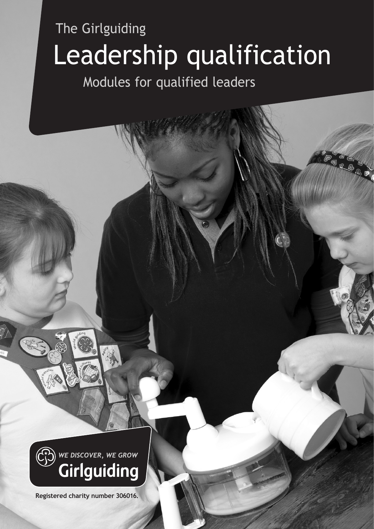# The Girlguiding Leadership qualification

Modules for qualified leaders



**Registered charity number 306016.**

© Girlguiding 2019 Registered charity number 306016 www.girlguiding.org.uk

**Leadership qualification: Modules for qualified leaders**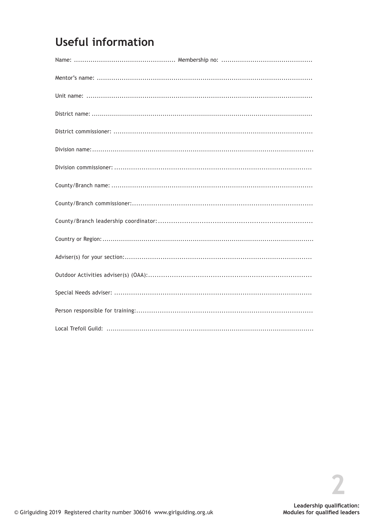# **Useful information**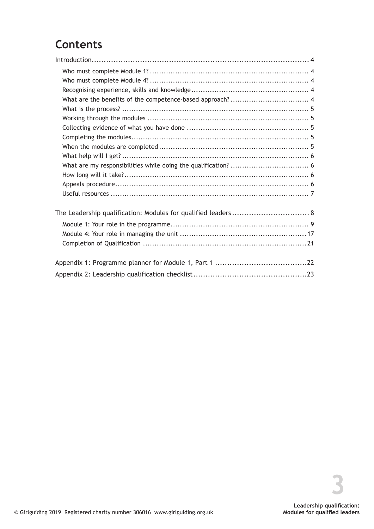# **Contents**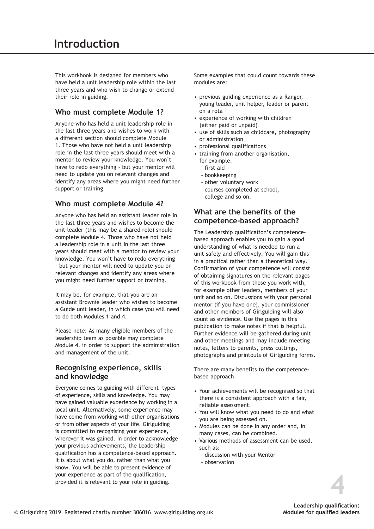This workbook is designed for members who have held a unit leadership role within the last three years and who wish to change or extend their role in guiding.

#### **Who must complete Module 1?**

Anyone who has held a unit leadership role in the last three years and wishes to work with a different section should complete Module 1. Those who have not held a unit leadership role in the last three years should meet with a mentor to review your knowledge. You won't have to redo everything - but your mentor will need to update you on relevant changes and identify any areas where you might need further support or training.

#### **Who must complete Module 4?**

Anyone who has held an assistant leader role in the last three years and wishes to become the unit leader (this may be a shared role) should complete Module 4. Those who have not held a leadership role in a unit in the last three years should meet with a mentor to review your knowledge. You won't have to redo everything - but your mentor will need to update you on relevant changes and identify any areas where you might need further support or training.

It may be, for example, that you are an assistant Brownie leader who wishes to become a Guide unit leader, in which case you will need to do both Modules 1 and 4.

Please note: As many eligible members of the leadership team as possible may complete Module 4, in order to support the administration and management of the unit.

#### **Recognising experience, skills and knowledge**

Everyone comes to guiding with different types of experience, skills and knowledge. You may have gained valuable experience by working in a local unit. Alternatively, some experience may have come from working with other organisations or from other aspects of your life. Girlguiding is committed to recognising your experience, wherever it was gained. In order to acknowledge your previous achievements, the Leadership qualification has a competence-based approach. It is about what you do, rather than what you know. You will be able to present evidence of your experience as part of the qualification, provided it is relevant to your role in guiding.

Some examples that could count towards these modules are:

- previous guiding experience as a Ranger, young leader, unit helper, leader or parent on a rota
- experience of working with children (either paid or unpaid)
- use of skills such as childcare, photography or administration
- professional qualifications
- training from another organisation, for example:
	- first aid
	- bookkeeping
	- other voluntary work
	- courses completed at school, college and so on.

#### **What are the benefits of the competence-based approach?**

The Leadership qualification's competencebased approach enables you to gain a good understanding of what is needed to run a unit safely and effectively. You will gain this in a practical rather than a theoretical way. Confirmation of your competence will consist of obtaining signatures on the relevant pages of this workbook from those you work with, for example other leaders, members of your unit and so on. Discussions with your personal mentor (if you have one), your commissioner and other members of Girlguiding will also count as evidence. Use the pages in this publication to make notes if that is helpful. Further evidence will be gathered during unit and other meetings and may include meeting notes, letters to parents, press cuttings, photographs and printouts of Girlguiding forms.

There are many benefits to the competencebased approach.

- Your achievements will be recognised so that there is a consistent approach with a fair, reliable assessment.
- You will know what you need to do and what you are being assessed on.
- Modules can be done in any order and, in many cases, can be combined.
- Various methods of assessment can be used, such as:
	- discussion with your Mentor
	- observation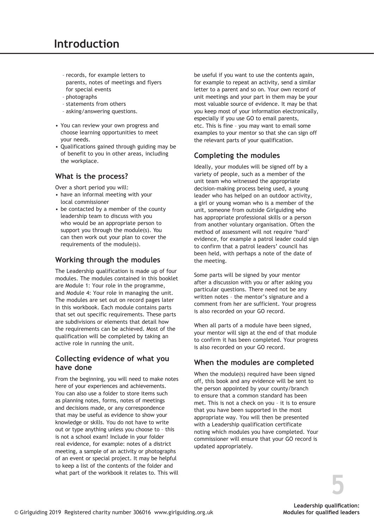- records, for example letters to parents, notes of meetings and flyers for special events
- photographs
- statements from others
- asking/answering questions.
- You can review your own progress and choose learning opportunities to meet your needs.
- Qualifications gained through guiding may be of benefit to you in other areas, including the workplace.

#### **What is the process?**

Over a short period you will:

- have an informal meeting with your local commissioner
- be contacted by a member of the county leadership team to discuss with you who would be an appropriate person to support you through the module(s). You can then work out your plan to cover the requirements of the module(s).

#### **Working through the modules**

The Leadership qualification is made up of four modules. The modules contained in this booklet are Module 1: Your role in the programme, and Module 4: Your role in managing the unit. The modules are set out on record pages later in this workbook. Each module contains parts that set out specific requirements. These parts are subdivisions or elements that detail how the requirements can be achieved. Most of the qualification will be completed by taking an active role in running the unit.

#### **Collecting evidence of what you have done**

From the beginning, you will need to make notes here of your experiences and achievements. You can also use a folder to store items such as planning notes, forms, notes of meetings and decisions made, or any correspondence that may be useful as evidence to show your knowledge or skills. You do not have to write out or type anything unless you choose to – this is not a school exam! Include in your folder real evidence, for example: notes of a district meeting, a sample of an activity or photographs of an event or special project. It may be helpful to keep a list of the contents of the folder and what part of the workbook it relates to. This will

be useful if you want to use the contents again, for example to repeat an activity, send a similar letter to a parent and so on. Your own record of unit meetings and your part in them may be your most valuable source of evidence. It may be that you keep most of your information electronically, especially if you use GO to email parents, etc. This is fine – you may want to email some examples to your mentor so that she can sign off the relevant parts of your qualification.

#### **Completing the modules**

Ideally, your modules will be signed off by a variety of people, such as a member of the unit team who witnessed the appropriate decision-making process being used, a young leader who has helped on an outdoor activity, a girl or young woman who is a member of the unit, someone from outside Girlguiding who has appropriate professional skills or a person from another voluntary organisation. Often the method of assessment will not require 'hard' evidence, for example a patrol leader could sign to confirm that a patrol leaders' council has been held, with perhaps a note of the date of the meeting.

Some parts will be signed by your mentor after a discussion with you or after asking you particular questions. There need not be any written notes – the mentor's signature and a comment from her are sufficient. Your progress is also recorded on your GO record.

When all parts of a module have been signed, your mentor will sign at the end of that module to confirm it has been completed. Your progress is also recorded on your GO record.

#### **When the modules are completed**

When the module(s) required have been signed off, this book and any evidence will be sent to the person appointed by your county/branch to ensure that a common standard has been met. This is not a check on you – it is to ensure that you have been supported in the most appropriate way. You will then be presented with a Leadership qualification certificate noting which modules you have completed. Your commissioner will ensure that your GO record is updated appropriately.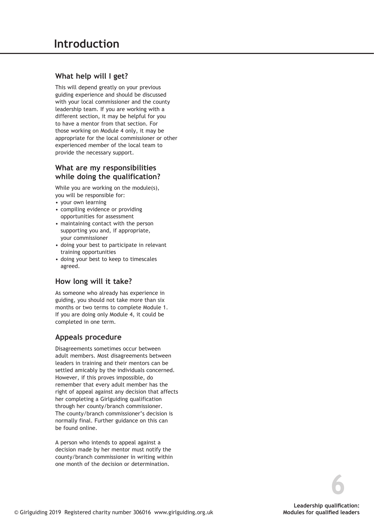#### **What help will I get?**

This will depend greatly on your previous guiding experience and should be discussed with your local commissioner and the county leadership team. If you are working with a different section, it may be helpful for you to have a mentor from that section. For those working on Module 4 only, it may be appropriate for the local commissioner or other experienced member of the local team to provide the necessary support.

#### **What are my responsibilities while doing the qualification?**

While you are working on the module(s), you will be responsible for:

- your own learning
- compiling evidence or providing opportunities for assessment
- maintaining contact with the person supporting you and, if appropriate, your commissioner
- doing your best to participate in relevant training opportunities
- doing your best to keep to timescales agreed.

#### **How long will it take?**

As someone who already has experience in guiding, you should not take more than six months or two terms to complete Module 1. If you are doing only Module 4, it could be completed in one term.

#### **Appeals procedure**

Disagreements sometimes occur between adult members. Most disagreements between leaders in training and their mentors can be settled amicably by the individuals concerned. However, if this proves impossible, do remember that every adult member has the right of appeal against any decision that affects her completing a Girlguiding qualification through her county/branch commissioner. The county/branch commissioner's decision is normally final. Further guidance on this can be found online.

A person who intends to appeal against a decision made by her mentor must notify the county/branch commissioner in writing within one month of the decision or determination.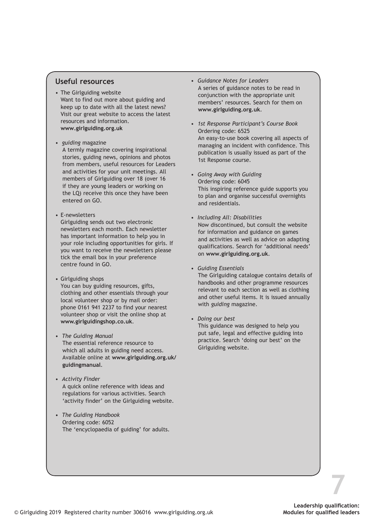#### **Useful resources**

- The Girlguiding website Want to find out more about guiding and keep up to date with all the latest news? Visit our great website to access the latest resources and information. **www.girlguiding.org.uk**
- *guiding* magazine

A termly magazine covering inspirational stories, guiding news, opinions and photos from members, useful resources for Leaders and activities for your unit meetings. All members of Girlguiding over 18 (over 16 if they are young leaders or working on the LQ) receive this once they have been entered on GO.

• E-newsletters

Girlguiding sends out two electronic newsletters each month. Each newsletter has important information to help you in your role including opportunities for girls. If you want to receive the newsletters please tick the email box in your preference centre found in GO.

- Girlguiding shops You can buy guiding resources, gifts, clothing and other essentials through your local volunteer shop or by mail order: phone 0161 941 2237 to find your nearest volunteer shop or visit the online shop at **www.girlguidingshop.co.uk**.
- *The Guiding Manual* The essential reference resource to which all adults in guiding need access. Available online at **www.girlguiding.org.uk/ guidingmanual**.
- *Activity Finder* A quick online reference with ideas and regulations for various activities. Search 'activity finder' on the Girlguiding website.
- *The Guiding Handbook* Ordering code: 6052 The 'encyclopaedia of guiding' for adults.
- *Guidance Notes for Leaders* A series of guidance notes to be read in conjunction with the appropriate unit members' resources. Search for them on **www.girlguiding.org.uk**.
- *1st Response Participant's Course Book* Ordering code: 6525 An easy-to-use book covering all aspects of managing an incident with confidence. This publication is usually issued as part of the 1st Response course.
- *Going Away with Guiding* Ordering code: 6045 This inspiring reference guide supports you to plan and organise successful overnights and residentials.
- *Including All: Disabilities* Now discontinued, but consult the website for information and guidance on games and activities as well as advice on adapting qualifications. Search for 'additional needs' on **www.girlguiding.org.uk**.
- *Guiding Essentials*

The Girlguiding catalogue contains details of handbooks and other programme resources relevant to each section as well as clothing and other useful items. It is issued annually with *guiding* magazine.

• *Doing our best* 

This guidance was designed to help you put safe, legal and effective guiding into practice. Search 'doing our best' on the Girlguiding website.

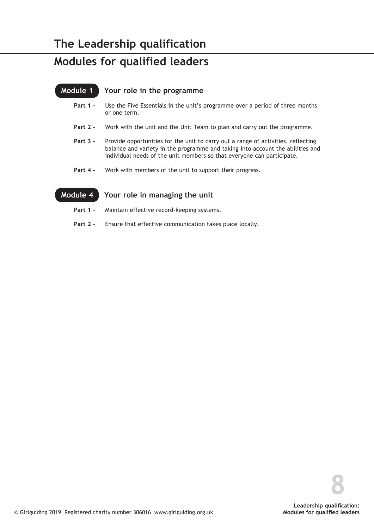# **Modules for qualified leaders**

| Module 1   | Your role in the programme                                                                                                                                                                                                                    |
|------------|-----------------------------------------------------------------------------------------------------------------------------------------------------------------------------------------------------------------------------------------------|
| Part $1 -$ | Use the Five Essentials in the unit's programme over a period of three months<br>or one term.                                                                                                                                                 |
| Part $2 -$ | Work with the unit and the Unit Team to plan and carry out the programme.                                                                                                                                                                     |
| Part $3 -$ | Provide opportunities for the unit to carry out a range of activities, reflecting<br>balance and variety in the programme and taking into account the abilities and<br>individual needs of the unit members so that everyone can participate. |
| Part $4 -$ | Work with members of the unit to support their progress.                                                                                                                                                                                      |
| Module 4   | Your role in managing the unit                                                                                                                                                                                                                |
| Part $1 -$ | Maintain effective record-keeping systems.                                                                                                                                                                                                    |
| Part $2 -$ | Ensure that effective communication takes place locally.                                                                                                                                                                                      |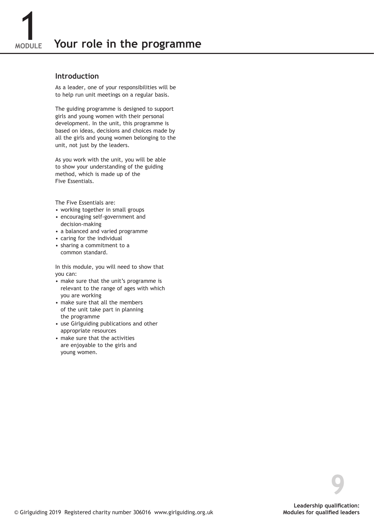#### **Introduction**

As a leader, one of your responsibilities will be to help run unit meetings on a regular basis.

The guiding programme is designed to support girls and young women with their personal development. In the unit, this programme is based on ideas, decisions and choices made by all the girls and young women belonging to the unit, not just by the leaders.

As you work with the unit, you will be able to show your understanding of the guiding method, which is made up of the Five Essentials.

The Five Essentials are:

- working together in small groups
- encouraging self-government and decision-making
- a balanced and varied programme
- caring for the individual
- sharing a commitment to a common standard.

In this module, you will need to show that you can:

- make sure that the unit's programme is relevant to the range of ages with which you are working
- make sure that all the members of the unit take part in planning the programme
- use Girlguiding publications and other appropriate resources
- make sure that the activities are enjoyable to the girls and young women.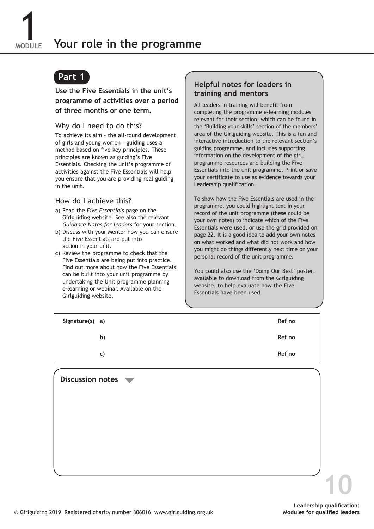**Use the Five Essentials in the unit's programme of activities over a period of three months or one term.**

#### Why do I need to do this?

To achieve its aim – the all-round development of girls and young women – guiding uses a method based on five key principles. These principles are known as guiding's Five Essentials. Checking the unit's programme of activities against the Five Essentials will help you ensure that you are providing real guiding in the unit.

#### How do I achieve this?

- a) Read the *Five Essentials* page on the Girlguiding website. See also the relevant *Guidance Notes for leaders* for your section.
- b) Discuss with your Mentor how you can ensure the Five Essentials are put into action in your unit.
- c) Review the programme to check that the Five Essentials are being put into practice. Find out more about how the Five Essentials can be built into your unit programme by undertaking the Unit programme planning e-learning or webinar. Available on the Girlguiding website.

#### **Helpful notes for leaders in training and mentors**

All leaders in training will benefit from completing the programme e-learning modules relevant for their section, which can be found in the 'Building your skills' section of the members' area of the Girlguiding website. This is a fun and interactive introduction to the relevant section's guiding programme, and includes supporting information on the development of the girl, programme resources and building the Five Essentials into the unit programme. Print or save your certificate to use as evidence towards your Leadership qualification.

To show how the Five Essentials are used in the programme, you could highlight text in your record of the unit programme (these could be your own notes) to indicate which of the Five Essentials were used, or use the grid provided on page 22. It is a good idea to add your own notes on what worked and what did not work and how you might do things differently next time on your personal record of the unit programme.

You could also use the 'Doing Our Best' poster, available to download from the Girlguiding website, to help evaluate how the Five Essentials have been used.

| Signature(s) a) |    | Ref no |
|-----------------|----|--------|
|                 |    |        |
|                 | b) | Ref no |
|                 |    |        |
|                 | C) | Ref no |
|                 |    |        |
|                 |    |        |

**Discussion notes** 6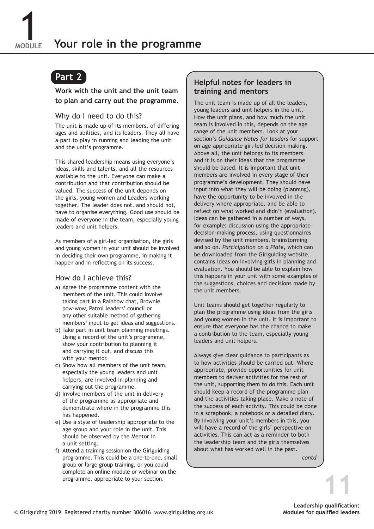#### **Work with the unit and the unit team to plan and carry out the programme.**

#### Why do I need to do this?

The unit is made up of its members, of differing ages and abilities, and its leaders. They all have a part to play in running and leading the unit and the unit's programme.

This shared leadership means using everyone's ideas, skills and talents, and all the resources available to the unit. Everyone can make a contribution and that contribution should be valued. The success of the unit depends on the girls, young women and Leaders working together. The leader does not, and should not, have to organise everything. Good use should be made of everyone in the team, especially young leaders and unit helpers.

As members of a girl-led organisation, the girls and young women in your unit should be involved in deciding their own programme, in making it happen and in reflecting on its success.

#### How do I achieve this?

- a) Agree the programme content with the members of the unit. This could involve taking part in a Rainbow chat, Brownie pow-wow, Patrol leaders' council or any other suitable method of gathering members' input to get ideas and suggestions.
- b) Take part in unit team planning meetings. Using a record of the unit's programme, show your contribution to planning it and carrying it out, and discuss this with your mentor.
- c) Show how all members of the unit team, especially the young leaders and unit helpers, are involved in planning and carrying out the programme.
- d) Involve members of the unit in delivery of the programme as appropriate and demonstrate where in the programme this has happened.
- e) Use a style of leadership appropriate to the age group and your role in the unit. This should be observed by the Mentor in a unit setting.
- f) Attend a training session on the Girlguiding programme. This could be a one-to-one, small group or large group training, or you could complete an online module or webinar on the programme, appropriate to your section.

#### **Helpful notes for leaders in training and mentors**

The unit team is made up of all the leaders, young leaders and unit helpers in the unit. How the unit plans, and how much the unit team is involved in this, depends on the age range of the unit members. Look at your section's *Guidance Notes for leaders* for support on age-appropriate girl-led decision-making. Above all, the unit belongs to its members and it is on their ideas that the programme should be based. It is important that unit members are involved in every stage of their programme's development. They should have input into what they will be doing (planning), have the opportunity to be involved in the delivery where appropriate, and be able to reflect on what worked and didn't (evaluation). Ideas can be gathered in a number of ways, for example: discussion using the appropriate decision-making process, using questionnaires devised by the unit members, brainstorming and so on. *Participation on a Plate*, which can be downloaded from the Girlguiding website, contains ideas on involving girls in planning and evaluation. You should be able to explain how this happens in your unit with some examples of the suggestions, choices and decisions made by the unit members.

Unit teams should get together regularly to plan the programme using ideas from the girls and young women in the unit. It is important to ensure that everyone has the chance to make a contribution to the team, especially young leaders and unit helpers.

Always give clear guidance to participants as to how activities should be carried out. Where appropriate, provide opportunities for unit members to deliver activities for the rest of the unit, supporting them to do this. Each unit should keep a record of the programme plan and the activities taking place. Make a note of the success of each activity. This could be done in a scrapbook, a notebook or a detailed diary. By involving your unit's members in this, you will have a record of the girls' perspective on activities. This can act as a reminder to both the leadership team and the girls themselves about what has worked well in the past.

*contd*

**11**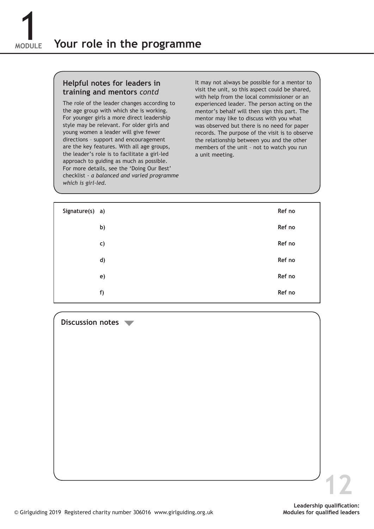#### **Helpful notes for leaders in training and mentors** *contd*

The role of the leader changes according to the age group with which she is working. For younger girls a more direct leadership style may be relevant. For older girls and young women a leader will give fewer directions – support and encouragement are the key features. With all age groups, the leader's role is to facilitate a girl-led approach to guiding as much as possible. For more details, see the 'Doing Our Best' checklist - *a balanced and varied programme which is girl-led*.

It may not always be possible for a mentor to visit the unit, so this aspect could be shared, with help from the local commissioner or an experienced leader. The person acting on the mentor's behalf will then sign this part. The mentor may like to discuss with you what was observed but there is no need for paper records. The purpose of the visit is to observe the relationship between you and the other members of the unit – not to watch you run a unit meeting.

| Signature(s) a) |    | Ref no |
|-----------------|----|--------|
|                 | b) | Ref no |
|                 | c) | Ref no |
|                 | d) | Ref no |
|                 | e) | Ref no |
|                 | f) | Ref no |
|                 |    |        |

**Discussion notes**6

**Modules for qualified leaders**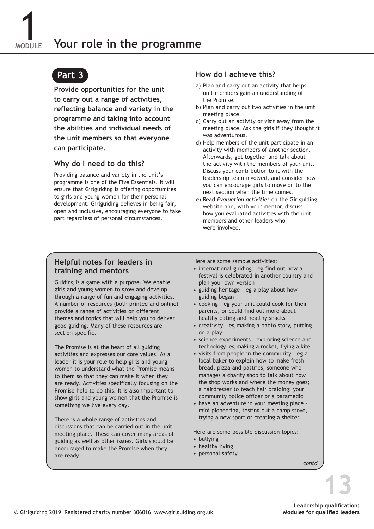**Provide opportunities for the unit to carry out a range of activities, reflecting balance and variety in the programme and taking into account the abilities and individual needs of the unit members so that everyone can participate.**

#### **Why do I need to do this?**

Providing balance and variety in the unit's programme is one of the Five Essentials. It will ensure that Girlguiding is offering opportunities to girls and young women for their personal development. Girlguiding believes in being fair, open and inclusive, encouraging everyone to take part regardless of personal circumstances.

#### **How do I achieve this?**

- a) Plan and carry out an activity that helps unit members gain an understanding of the Promise.
- b) Plan and carry out two activities in the unit meeting place.
- c) Carry out an activity or visit away from the meeting place. Ask the girls if they thought it was adventurous.
- d) Help members of the unit participate in an activity with members of another section. Afterwards, get together and talk about the activity with the members of your unit. Discuss your contribution to it with the leadership team involved, and consider how you can encourage girls to move on to the next section when the time comes.
- e) Read *Evaluation activities* on the Girlguiding website and, with your mentor, discuss how you evaluated activities with the unit members and other leaders who were involved.

#### **Helpful notes for leaders in training and mentors**

Guiding is a game with a purpose. We enable girls and young women to grow and develop through a range of fun and engaging activities. A number of resources (both printed and online) provide a range of activities on different themes and topics that will help you to deliver good guiding. Many of these resources are section-specific.

The Promise is at the heart of all guiding activities and expresses our core values. As a leader it is your role to help girls and young women to understand what the Promise means to them so that they can make it when they are ready. Activities specifically focusing on the Promise help to do this. It is also important to show girls and young women that the Promise is something we live every day.

There is a whole range of activities and discussions that can be carried out in the unit meeting place. These can cover many areas of guiding as well as other issues. Girls should be encouraged to make the Promise when they are ready.

Here are some sample activities:

- international guiding eg find out how a festival is celebrated in another country and plan your own version
- guiding heritage eg a play about how guiding began
- cooking eg your unit could cook for their parents, or could find out more about healthy eating and healthy snacks
- creativity eg making a photo story, putting on a play
- science experiments exploring science and technology, eg making a rocket, flying a kite
- visits from people in the community eg a local baker to explain how to make fresh bread, pizza and pastries; someone who manages a charity shop to talk about how the shop works and where the money goes; a hairdresser to teach hair braiding; your community police officer or a paramedic
- have an adventure in your meeting place mini pioneering, testing out a camp stove, trying a new sport or creating a shelter.

Here are some possible discussion topics: • bullying

- healthy living
- personal safety.

*contd*

**13**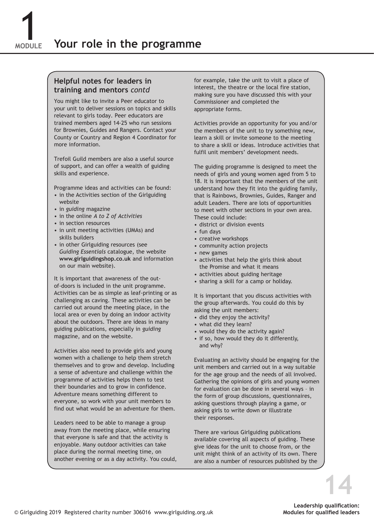#### **Helpful notes for leaders in training and mentors** *contd*

You might like to invite a Peer educator to your unit to deliver sessions on topics and skills relevant to girls today. Peer educators are trained members aged 14-25 who run sessions for Brownies, Guides and Rangers. Contact your County or Country and Region 4 Coordinator for more information.

Trefoil Guild members are also a useful source of support, and can offer a wealth of guiding skills and experience.

Programme ideas and activities can be found:

- in the Activities section of the Girlguiding website
- in *guiding* magazine
- in the online *A to Z of Activities*
- in section resources
- in unit meeting activities (UMAs) and skills builders
- in other Girlguiding resources (see *Guiding Essentials* catalogue, the website **www.girlguidingshop.co.uk** and information on our main website).

It is important that awareness of the outof-doors is included in the unit programme. Activities can be as simple as leaf-printing or as challenging as caving. These activities can be carried out around the meeting place, in the local area or even by doing an indoor activity about the outdoors. There are ideas in many guiding publications, especially in *guiding* magazine, and on the website.

Activities also need to provide girls and young women with a challenge to help them stretch themselves and to grow and develop. Including a sense of adventure and challenge within the programme of activities helps them to test their boundaries and to grow in confidence. Adventure means something different to everyone, so work with your unit members to find out what would be an adventure for them.

Leaders need to be able to manage a group away from the meeting place, while ensuring that everyone is safe and that the activity is enjoyable. Many outdoor activities can take place during the normal meeting time, on another evening or as a day activity. You could,

for example, take the unit to visit a place of interest, the theatre or the local fire station, making sure you have discussed this with your Commissioner and completed the appropriate forms.

Activities provide an opportunity for you and/or the members of the unit to try something new, learn a skill or invite someone to the meeting to share a skill or ideas. Introduce activities that fulfil unit members' development needs.

The guiding programme is designed to meet the needs of girls and young women aged from 5 to 18. It is important that the members of the unit understand how they fit into the guiding family, that is Rainbows, Brownies, Guides, Ranger and adult Leaders. There are lots of opportunities to meet with other sections in your own area. These could include:

- district or division events
- fun days
- creative workshops
- community action projects
- new games
- activities that help the girls think about the Promise and what it means
- activities about guiding heritage
- sharing a skill for a camp or holiday.

It is important that you discuss activities with the group afterwards. You could do this by asking the unit members:

- did they enjoy the activity?
- what did they learn?
- would they do the activity again?
- if so, how would they do it differently, and why?

Evaluating an activity should be engaging for the unit members and carried out in a way suitable for the age group and the needs of all involved. Gathering the opinions of girls and young women for evaluation can be done in several ways – in the form of group discussions, questionnaires, asking questions through playing a game, or asking girls to write down or illustrate their responses.

There are various Girlguiding publications available covering all aspects of guiding. These give ideas for the unit to choose from, or the unit might think of an activity of its own. There are also a number of resources published by the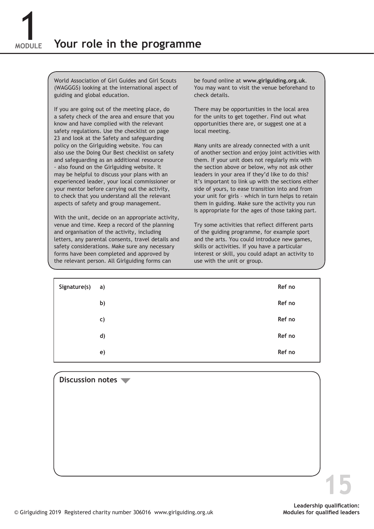World Association of Girl Guides and Girl Scouts (WAGGGS) looking at the international aspect of guiding and global education.

If you are going out of the meeting place, do a safety check of the area and ensure that you know and have complied with the relevant safety regulations. Use the checklist on page 23 and look at the Safety and safeguarding policy on the Girlguiding website. You can also use the Doing Our Best checklist on safety and safeguarding as an additional resource - also found on the Girlguiding website. It may be helpful to discuss your plans with an experienced leader, your local commissioner or your mentor before carrying out the activity, to check that you understand all the relevant aspects of safety and group management.

With the unit, decide on an appropriate activity, venue and time. Keep a record of the planning and organisation of the activity, including letters, any parental consents, travel details and safety considerations. Make sure any necessary forms have been completed and approved by the relevant person. All Girlguiding forms can

be found online at **www.girlguiding.org.uk**. You may want to visit the venue beforehand to check details.

There may be opportunities in the local area for the units to get together. Find out what opportunities there are, or suggest one at a local meeting.

Many units are already connected with a unit of another section and enjoy joint activities with them. If your unit does not regularly mix with the section above or below, why not ask other leaders in your area if they'd like to do this? It's important to link up with the sections either side of yours, to ease transition into and from your unit for girls – which in turn helps to retain them in guiding. Make sure the activity you run is appropriate for the ages of those taking part.

Try some activities that reflect different parts of the guiding programme, for example sport and the arts. You could introduce new games, skills or activities. If you have a particular interest or skill, you could adapt an activity to use with the unit or group.

|    | Ref no          |
|----|-----------------|
| b) | Ref no          |
| c) | Ref no          |
| d) | Ref no          |
| e) | Ref no          |
|    | Signature(s) a) |

**Discussion notes**6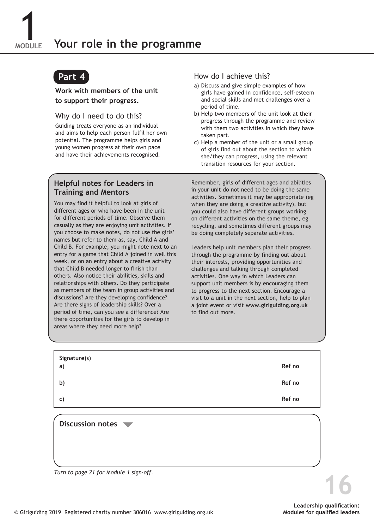#### **Work with members of the unit to support their progress.**

#### Why do I need to do this?

Guiding treats everyone as an individual and aims to help each person fulfil her own potential. The programme helps girls and young women progress at their own pace and have their achievements recognised.

#### **Helpful notes for Leaders in Training and Mentors**

You may find it helpful to look at girls of different ages or who have been in the unit for different periods of time. Observe them casually as they are enjoying unit activities. If you choose to make notes, do not use the girls' names but refer to them as, say, Child A and Child B. For example, you might note next to an entry for a game that Child A joined in well this week, or on an entry about a creative activity that Child B needed longer to finish than others. Also notice their abilities, skills and relationships with others. Do they participate as members of the team in group activities and discussions? Are they developing confidence? Are there signs of leadership skills? Over a period of time, can you see a difference? Are there opportunities for the girls to develop in areas where they need more help?

#### How do I achieve this?

- a) Discuss and give simple examples of how girls have gained in confidence, self-esteem and social skills and met challenges over a period of time.
- b) Help two members of the unit look at their progress through the programme and review with them two activities in which they have taken part.
- c) Help a member of the unit or a small group of girls find out about the section to which she/they can progress, using the relevant transition resources for your section.

Remember, girls of different ages and abilities in your unit do not need to be doing the same activities. Sometimes it may be appropriate (eg when they are doing a creative activity), but you could also have different groups working on different activities on the same theme, eg recycling, and sometimes different groups may be doing completely separate activities.

Leaders help unit members plan their progress through the programme by finding out about their interests, providing opportunities and challenges and talking through completed activities. One way in which Leaders can support unit members is by encouraging them to progress to the next section. Encourage a visit to a unit in the next section, help to plan a joint event or visit **www.girlguiding.org.uk** to find out more.

| $\Big \$ Signature(s)<br>a) | Ref no |
|-----------------------------|--------|
| b)                          | Ref no |
| $\mathsf{C}$                | Ref no |
|                             |        |

#### **Discussion notes** 6

*Turn to page 21 for Module 1 sign-off.*

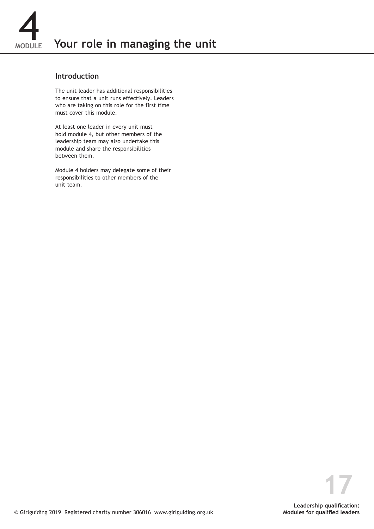

#### **Introduction**

The unit leader has additional responsibilities to ensure that a unit runs effectively. Leaders who are taking on this role for the first time must cover this module.

At least one leader in every unit must hold module 4, but other members of the leadership team may also undertake this module and share the responsibilities between them.

Module 4 holders may delegate some of their responsibilities to other members of the unit team.

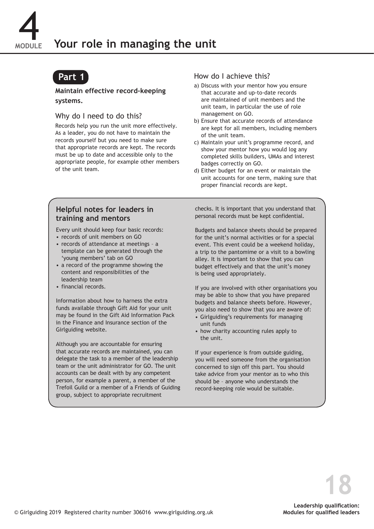#### **Maintain effective record-keeping systems.**

#### Why do I need to do this?

Records help you run the unit more effectively. As a leader, you do not have to maintain the records yourself but you need to make sure that appropriate records are kept. The records must be up to date and accessible only to the appropriate people, for example other members of the unit team.

#### How do I achieve this?

- a) Discuss with your mentor how you ensure that accurate and up-to-date records are maintained of unit members and the unit team, in particular the use of role management on GO.
- b) Ensure that accurate records of attendance are kept for all members, including members of the unit team.
- c) Maintain your unit's programme record, and show your mentor how you would log any completed skills builders, UMAs and interest badges correctly on GO.
- d) Either budget for an event or maintain the unit accounts for one term, making sure that proper financial records are kept.

#### **Helpful notes for leaders in training and mentors**

Every unit should keep four basic records:

- records of unit members on GO
- records of attendance at meetings a template can be generated through the 'young members' tab on GO
- a record of the programme showing the content and responsibilities of the leadership team
- financial records.

Information about how to harness the extra funds available through Gift Aid for your unit may be found in the Gift Aid Information Pack in the Finance and Insurance section of the Girlguiding website.

Although you are accountable for ensuring that accurate records are maintained, you can delegate the task to a member of the leadership team or the unit administrator for GO. The unit accounts can be dealt with by any competent person, for example a parent, a member of the Trefoil Guild or a member of a Friends of Guiding group, subject to appropriate recruitment

checks. It is important that you understand that personal records must be kept confidential.

Budgets and balance sheets should be prepared for the unit's normal activities or for a special event. This event could be a weekend holiday, a trip to the pantomime or a visit to a bowling alley. It is important to show that you can budget effectively and that the unit's money is being used appropriately.

If you are involved with other organisations you may be able to show that you have prepared budgets and balance sheets before. However, you also need to show that you are aware of:

- Girlguiding's requirements for managing unit funds
- how charity accounting rules apply to the unit.

If your experience is from outside guiding, you will need someone from the organisation concerned to sign off this part. You should take advice from your mentor as to who this should be – anyone who understands the record-keeping role would be suitable.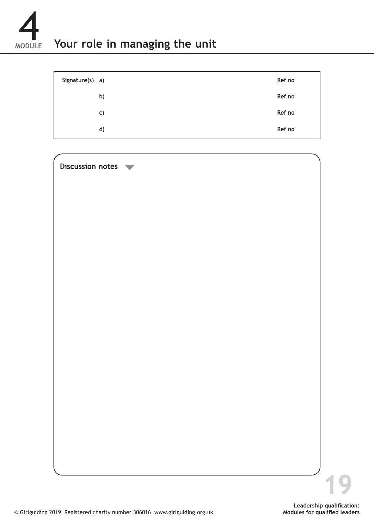

| Signature(s) a) |    | Ref no |
|-----------------|----|--------|
|                 | b) | Ref no |
|                 | c) | Ref no |
|                 | d) | Ref no |

**Discussion notes** 

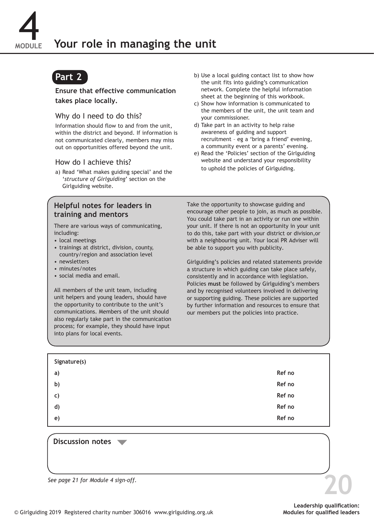#### **Ensure that effective communication takes place locally.**

#### Why do I need to do this?

Information should flow to and from the unit, within the district and beyond. If information is not communicated clearly, members may miss out on opportunities offered beyond the unit.

#### How do I achieve this?

a) Read 'What makes guiding special' and the '*structure of Girlguiding*' section on the Girlguiding website.

#### **Helpful notes for leaders in training and mentors**

There are various ways of communicating, including:

- local meetings
- trainings at district, division, county, country/region and association level
- newsletters
- minutes/notes
- social media and email.

All members of the unit team, including unit helpers and young leaders, should have the opportunity to contribute to the unit's communications. Members of the unit should also regularly take part in the communication process; for example, they should have input into plans for local events.

- b) Use a local guiding contact list to show how the unit fits into guiding's communication network. Complete the helpful information sheet at the beginning of this workbook.
- c) Show how information is communicated to the members of the unit, the unit team and your commissioner.
- d) Take part in an activity to help raise awareness of guiding and support recruitment – eg a 'bring a friend' evening, a community event or a parents' evening.
- e) Read the 'Policies' section of the Girlguiding website and understand your responsibility to uphold the policies of Girlguiding.

Take the opportunity to showcase guiding and encourage other people to join, as much as possible. You could take part in an activity or run one within your unit. If there is not an opportunity in your unit to do this, take part with your district or division,or with a neighbouring unit. Your local PR Adviser will be able to support you with publicity.

Girlguiding's policies and related statements provide a structure in which guiding can take place safely, consistently and in accordance with legislation. Policies **must** be followed by Girlguiding's members and by recognised volunteers involved in delivering or supporting guiding. These policies are supported by further information and resources to ensure that our members put the policies into practice.

| Signature(s) |        |
|--------------|--------|
| a)           | Ref no |
| b)           | Ref no |
| c)           | Ref no |
| d)           | Ref no |
| e)           | Ref no |
|              |        |

#### **Discussion notes** 6

*See page 21 for Module 4 sign-off.*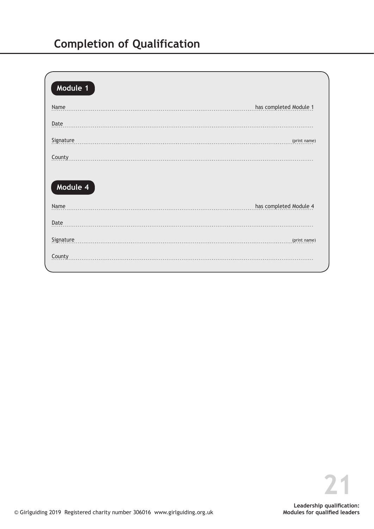# **Completion of Qualification**

| Module 1  |                        |
|-----------|------------------------|
| Name      | has completed Module 1 |
| Date      |                        |
| Signature | (print name)           |
| County    |                        |
| Module 4  |                        |
| Name      | has completed Module 4 |
| Date      |                        |
| Signature | (print name)           |
| County    |                        |

**Modules for qualified leaders**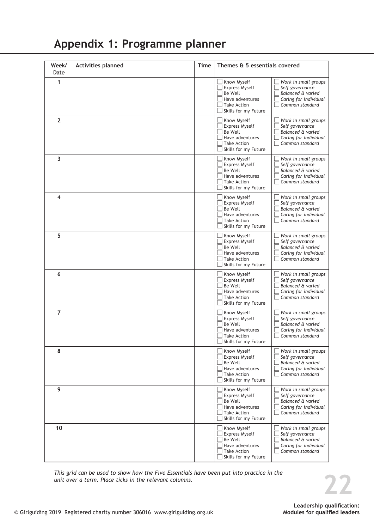#### **Week/ Date Activities planned Time Themes & 5 essentials covered 1 I Know Myself**  Express Myself Be Well Have adventures  $\Box$ Take Action  $\Box$  Skills for my Future *Work in small groups Self governance Balanced & varied Caring for individual Common standard* **2 Know Myself**  Express Myself  $B$  Kriow My<br> $B$  Express<br> $B$  Be Well Have adventures  $\bar{\overline{\mathsf{T}}}$ Take Action  $\Box$  Skills for my Future *Work in small groups Self governance Balanced & varied Caring for individual Common standard* **3 Know Myself**  Express Myself Be Well Have adventures  $\Box$  Take Action  $\Box$  Skills for mv Future *Work in small groups Self governance Balanced & varied Caring for individual Common standard* **4 K** Know Myself Express Myself Be Well Have adventures Take Action  $\overline{\Box}$  Skills for my Future *Work in small groups Self governance Balanced & varied Caring for individual Common standard* **5 I** Know Myself Express Myself  $\Box$  Be Well Have adventures Take Action  $\Box$  Take Action<br> $\Box$  Skills for my Future *Work in small groups Self governance Balanced & varied Caring for individual Common standard* **6 b know Myself** Express Myself Be Well  $\Box$  be well<br> $\Box$  Have adventures  $\Box$  Take Action  $\Box$  Skills for my Future *Work in small groups Self governance Balanced & varied Caring for individual Common standard* **7 I** Know Myself Express Myself Be Well Have adventures □ Take Action  $\Box$  Skills for my Future *Work in small groups Self governance Balanced & varied Caring for individual Common standard* **8 K**now Myself Express Myself  $\Box$  Exp.  $\Box$ <br> $\Box$  Be Well  $\Box$  Have adventures Take Action  $\Box$  Skills for my Future *Work in small groups Self governance Balanced & varied Caring for individual Common standard* **9 K**now Myself Express Myself Be Well Have adventures Take Action  $\Box$  Skills for my Future *Work in small groups Self governance Balanced & varied Caring for individual Common standard* **10 K** Know Myself Express Myself  $\Box$  Express<br> $\Box$  Be Well Have adventures Take Action  $\overline{\Box}$  Skills for my Future *Work in small groups Self governance Balanced & varied Caring for individual Common standard*

**Appendix 1: Programme planner**

*This grid can be used to show how the Five Essentials have been put into practice in the unit over a term. Place ticks in the relevant columns.*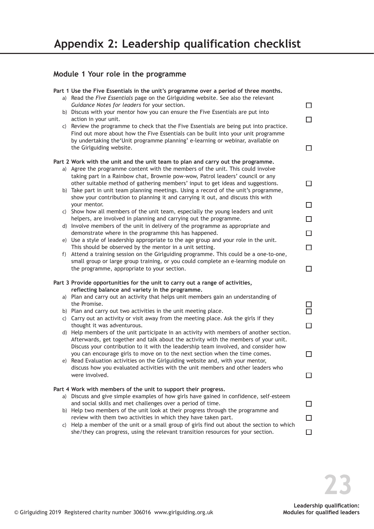### **Module 1 Your role in the programme**

| C) | Part 1 Use the Five Essentials in the unit's programme over a period of three months.<br>a) Read the Five Essentials page on the Girlguiding website. See also the relevant<br>Guidance Notes for leaders for your section.<br>b) Discuss with your mentor how you can ensure the Five Essentials are put into<br>action in your unit.<br>Review the programme to check that the Five Essentials are being put into practice.<br>Find out more about how the Five Essentials can be built into your unit programme<br>by undertaking the'Unit programme planning' e-learning or webinar, available on<br>the Girlguiding website. | □<br>□<br>□    |
|----|-----------------------------------------------------------------------------------------------------------------------------------------------------------------------------------------------------------------------------------------------------------------------------------------------------------------------------------------------------------------------------------------------------------------------------------------------------------------------------------------------------------------------------------------------------------------------------------------------------------------------------------|----------------|
|    |                                                                                                                                                                                                                                                                                                                                                                                                                                                                                                                                                                                                                                   |                |
|    | Part 2 Work with the unit and the unit team to plan and carry out the programme.                                                                                                                                                                                                                                                                                                                                                                                                                                                                                                                                                  |                |
|    | a) Agree the programme content with the members of the unit. This could involve<br>taking part in a Rainbow chat, Brownie pow-wow, Patrol leaders' council or any                                                                                                                                                                                                                                                                                                                                                                                                                                                                 |                |
|    | other suitable method of gathering members' input to get ideas and suggestions.<br>b) Take part in unit team planning meetings. Using a record of the unit's programme,                                                                                                                                                                                                                                                                                                                                                                                                                                                           | □              |
|    | show your contribution to planning it and carrying it out, and discuss this with<br>your mentor.                                                                                                                                                                                                                                                                                                                                                                                                                                                                                                                                  | □              |
|    | c) Show how all members of the unit team, especially the young leaders and unit                                                                                                                                                                                                                                                                                                                                                                                                                                                                                                                                                   |                |
|    | helpers, are involved in planning and carrying out the programme.<br>d) Involve members of the unit in delivery of the programme as appropriate and                                                                                                                                                                                                                                                                                                                                                                                                                                                                               | П              |
|    | demonstrate where in the programme this has happened.                                                                                                                                                                                                                                                                                                                                                                                                                                                                                                                                                                             | □              |
|    | e) Use a style of leadership appropriate to the age group and your role in the unit.                                                                                                                                                                                                                                                                                                                                                                                                                                                                                                                                              |                |
| f) | This should be observed by the mentor in a unit setting.<br>Attend a training session on the Girlguiding programme. This could be a one-to-one,                                                                                                                                                                                                                                                                                                                                                                                                                                                                                   | □              |
|    | small group or large group training, or you could complete an e-learning module on<br>the programme, appropriate to your section.                                                                                                                                                                                                                                                                                                                                                                                                                                                                                                 | □              |
|    | Part 3 Provide opportunities for the unit to carry out a range of activities,                                                                                                                                                                                                                                                                                                                                                                                                                                                                                                                                                     |                |
|    | reflecting balance and variety in the programme.                                                                                                                                                                                                                                                                                                                                                                                                                                                                                                                                                                                  |                |
|    | a) Plan and carry out an activity that helps unit members gain an understanding of<br>the Promise.                                                                                                                                                                                                                                                                                                                                                                                                                                                                                                                                |                |
|    | b) Plan and carry out two activities in the unit meeting place.                                                                                                                                                                                                                                                                                                                                                                                                                                                                                                                                                                   |                |
|    | c) Carry out an activity or visit away from the meeting place. Ask the girls if they                                                                                                                                                                                                                                                                                                                                                                                                                                                                                                                                              |                |
|    | thought it was adventurous.<br>d) Help members of the unit participate in an activity with members of another section.                                                                                                                                                                                                                                                                                                                                                                                                                                                                                                            | □              |
|    | Afterwards, get together and talk about the activity with the members of your unit.                                                                                                                                                                                                                                                                                                                                                                                                                                                                                                                                               |                |
|    | Discuss your contribution to it with the leadership team involved, and consider how                                                                                                                                                                                                                                                                                                                                                                                                                                                                                                                                               |                |
|    | you can encourage girls to move on to the next section when the time comes.<br>e) Read Evaluation activities on the Girlguiding website and, with your mentor,                                                                                                                                                                                                                                                                                                                                                                                                                                                                    | ΙI             |
|    | discuss how you evaluated activities with the unit members and other leaders who                                                                                                                                                                                                                                                                                                                                                                                                                                                                                                                                                  |                |
|    | were involved.                                                                                                                                                                                                                                                                                                                                                                                                                                                                                                                                                                                                                    |                |
|    | Part 4 Work with members of the unit to support their progress.                                                                                                                                                                                                                                                                                                                                                                                                                                                                                                                                                                   |                |
|    | a) Discuss and give simple examples of how girls have gained in confidence, self-esteem                                                                                                                                                                                                                                                                                                                                                                                                                                                                                                                                           |                |
|    | and social skills and met challenges over a period of time.                                                                                                                                                                                                                                                                                                                                                                                                                                                                                                                                                                       | ΙI             |
|    | b) Help two members of the unit look at their progress through the programme and<br>review with them two activities in which they have taken part.                                                                                                                                                                                                                                                                                                                                                                                                                                                                                | $\blacksquare$ |
|    | c) Help a member of the unit or a small group of girls find out about the section to which                                                                                                                                                                                                                                                                                                                                                                                                                                                                                                                                        |                |
|    | she/they can progress, using the relevant transition resources for your section.                                                                                                                                                                                                                                                                                                                                                                                                                                                                                                                                                  |                |